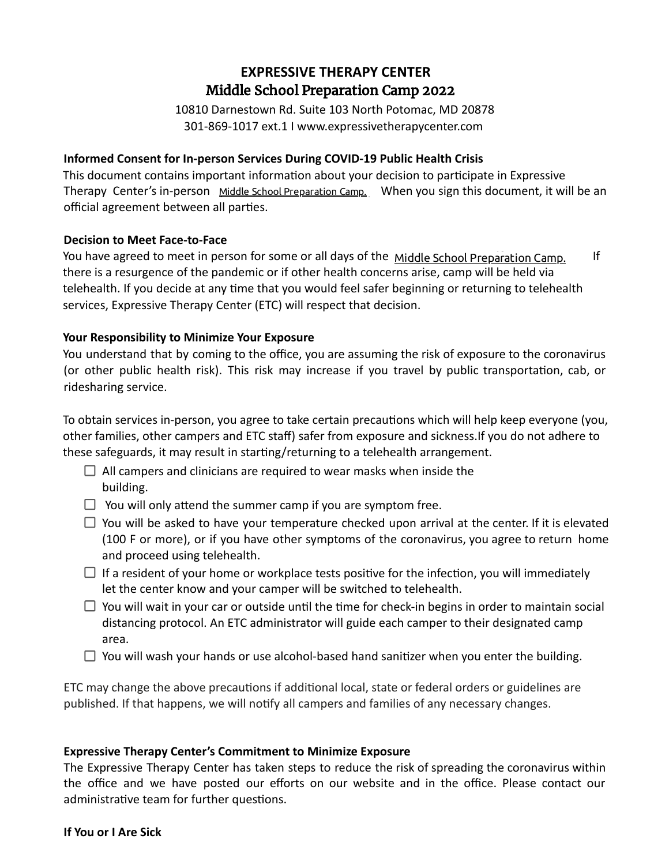# **EXPRESSIVE THERAPY CENTER Xpress Yourself Summer Camp 2022** Middle School Preparation Camp 2022

10810 Darnestown Rd. Suite 103 North Potomac, MD 20878 301-869-1017 ext.1 I www.expressivetherapycenter.com

## **Informed Consent for In-person Services During COVID-19 Public Health Crisis**

This document contains important information about your decision to participate in Expressive Therapy Center's in-person Middle School Preparation Camp. When you sign this document, it will be an official agreement between all parties.

### **Decision to Meet Face-to-Face**

You have agreed to meet in person for some or all days of the Middle School Preparation Camp. If there is a resurgence of the pandemic or if other health concerns arise, camp will be held via telehealth. If you decide at any time that you would feel safer beginning or returning to telehealth services, Expressive Therapy Center (ETC) will respect that decision.

### **Your Responsibility to Minimize Your Exposure**

You understand that by coming to the office, you are assuming the risk of exposure to the coronavirus (or other public health risk). This risk may increase if you travel by public transportation, cab, or ridesharing service.

To obtain services in-person, you agree to take certain precautions which will help keep everyone (you, other families, other campers and ETC staff) safer from exposure and sickness.If you do not adhere to these safeguards, it may result in starting/returning to a telehealth arrangement.

- $\Box$  All campers and clinicians are required to wear masks when inside the building.
- $\Box$  You will only attend the summer camp if you are symptom free.
- $\Box$  You will be asked to have your temperature checked upon arrival at the center. If it is elevated (100 F or more), or if you have other symptoms of the coronavirus, you agree to return home and proceed using telehealth.
- $\Box$  If a resident of your home or workplace tests positive for the infection, you will immediately let the center know and your camper will be switched to telehealth.
- $\Box$  You will wait in your car or outside until the time for check-in begins in order to maintain social distancing protocol. An ETC administrator will guide each camper to their designated camp area.
- $\Box$  You will wash your hands or use alcohol-based hand sanitizer when you enter the building.

ETC may change the above precautions if additional local, state or federal orders or guidelines are published. If that happens, we will notify all campers and families of any necessary changes.

### **Expressive Therapy Center's Commitment to Minimize Exposure**

The Expressive Therapy Center has taken steps to reduce the risk of spreading the coronavirus within the office and we have posted our efforts on our website and in the office. Please contact our administrative team for further questions.